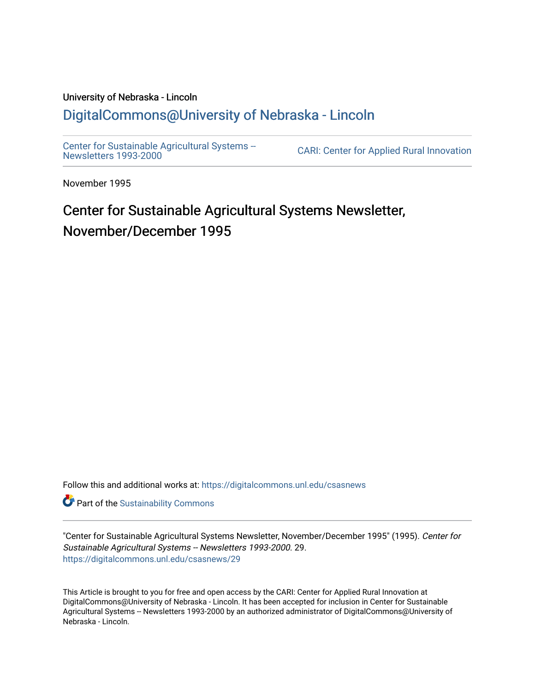# University of Nebraska - Lincoln [DigitalCommons@University of Nebraska - Lincoln](https://digitalcommons.unl.edu/)

[Center for Sustainable Agricultural Systems --](https://digitalcommons.unl.edu/csasnews)<br>Newsletters 1993-2000

CARI: Center for Applied Rural Innovation

November 1995

# Center for Sustainable Agricultural Systems Newsletter, November/December 1995

Follow this and additional works at: [https://digitalcommons.unl.edu/csasnews](https://digitalcommons.unl.edu/csasnews?utm_source=digitalcommons.unl.edu%2Fcsasnews%2F29&utm_medium=PDF&utm_campaign=PDFCoverPages) 

**Part of the [Sustainability Commons](http://network.bepress.com/hgg/discipline/1031?utm_source=digitalcommons.unl.edu%2Fcsasnews%2F29&utm_medium=PDF&utm_campaign=PDFCoverPages)** 

"Center for Sustainable Agricultural Systems Newsletter, November/December 1995" (1995). Center for Sustainable Agricultural Systems -- Newsletters 1993-2000. 29. [https://digitalcommons.unl.edu/csasnews/29](https://digitalcommons.unl.edu/csasnews/29?utm_source=digitalcommons.unl.edu%2Fcsasnews%2F29&utm_medium=PDF&utm_campaign=PDFCoverPages) 

This Article is brought to you for free and open access by the CARI: Center for Applied Rural Innovation at DigitalCommons@University of Nebraska - Lincoln. It has been accepted for inclusion in Center for Sustainable Agricultural Systems -- Newsletters 1993-2000 by an authorized administrator of DigitalCommons@University of Nebraska - Lincoln.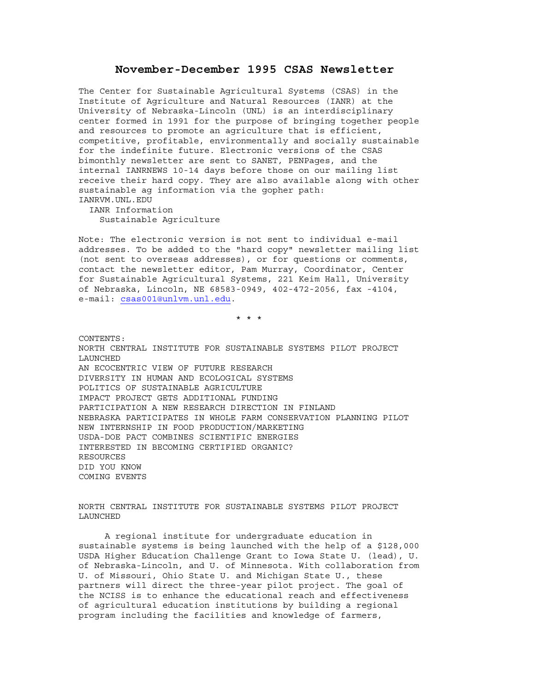## **November-December 1995 CSAS Newsletter**

The Center for Sustainable Agricultural Systems (CSAS) in the Institute of Agriculture and Natural Resources (IANR) at the University of Nebraska-Lincoln (UNL) is an interdisciplinary center formed in 1991 for the purpose of bringing together people and resources to promote an agriculture that is efficient, competitive, profitable, environmentally and socially sustainable for the indefinite future. Electronic versions of the CSAS bimonthly newsletter are sent to SANET, PENPages, and the internal IANRNEWS 10-14 days before those on our mailing list receive their hard copy. They are also available along with other sustainable ag information via the gopher path: IANRVM.UNL.EDU

 IANR Information Sustainable Agriculture

Note: The electronic version is not sent to individual e-mail addresses. To be added to the "hard copy" newsletter mailing list (not sent to overseas addresses), or for questions or comments, contact the newsletter editor, Pam Murray, Coordinator, Center for Sustainable Agricultural Systems, 221 Keim Hall, University of Nebraska, Lincoln, NE 68583-0949, 402-472-2056, fax -4104, e-mail: csas001@unlvm.unl.edu.

\* \* \*

CONTENTS: NORTH CENTRAL INSTITUTE FOR SUSTAINABLE SYSTEMS PILOT PROJECT LAUNCHED AN ECOCENTRIC VIEW OF FUTURE RESEARCH DIVERSITY IN HUMAN AND ECOLOGICAL SYSTEMS POLITICS OF SUSTAINABLE AGRICULTURE IMPACT PROJECT GETS ADDITIONAL FUNDING PARTICIPATION A NEW RESEARCH DIRECTION IN FINLAND NEBRASKA PARTICIPATES IN WHOLE FARM CONSERVATION PLANNING PILOT NEW INTERNSHIP IN FOOD PRODUCTION/MARKETING USDA-DOE PACT COMBINES SCIENTIFIC ENERGIES INTERESTED IN BECOMING CERTIFIED ORGANIC? RESOURCES DID YOU KNOW COMING EVENTS

NORTH CENTRAL INSTITUTE FOR SUSTAINABLE SYSTEMS PILOT PROJECT LAUNCHED

 A regional institute for undergraduate education in sustainable systems is being launched with the help of a \$128,000 USDA Higher Education Challenge Grant to Iowa State U. (lead), U. of Nebraska-Lincoln, and U. of Minnesota. With collaboration from U. of Missouri, Ohio State U. and Michigan State U., these partners will direct the three-year pilot project. The goal of the NCISS is to enhance the educational reach and effectiveness of agricultural education institutions by building a regional program including the facilities and knowledge of farmers,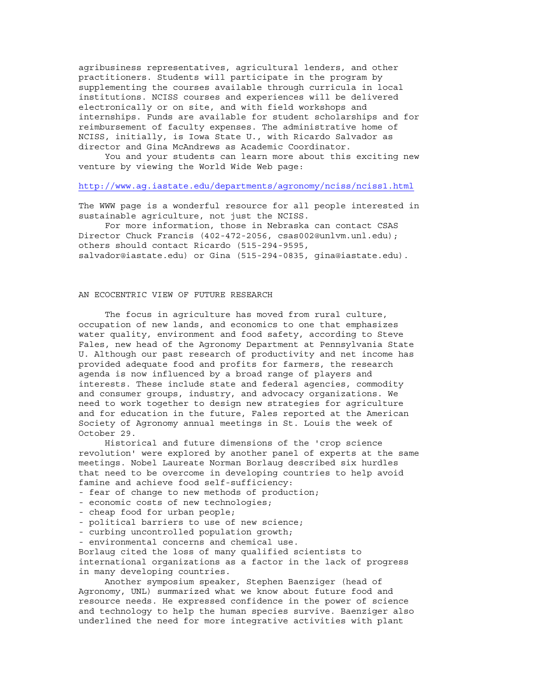agribusiness representatives, agricultural lenders, and other practitioners. Students will participate in the program by supplementing the courses available through curricula in local institutions. NCISS courses and experiences will be delivered electronically or on site, and with field workshops and internships. Funds are available for student scholarships and for reimbursement of faculty expenses. The administrative home of NCISS, initially, is Iowa State U., with Ricardo Salvador as director and Gina McAndrews as Academic Coordinator.

 You and your students can learn more about this exciting new venture by viewing the World Wide Web page:

#### http://www.ag.iastate.edu/departments/agronomy/nciss/nciss1.html

The WWW page is a wonderful resource for all people interested in sustainable agriculture, not just the NCISS.

 For more information, those in Nebraska can contact CSAS Director Chuck Francis (402-472-2056, csas002@unlvm.unl.edu); others should contact Ricardo (515-294-9595, salvador@iastate.edu) or Gina (515-294-0835, gina@iastate.edu).

#### AN ECOCENTRIC VIEW OF FUTURE RESEARCH

 The focus in agriculture has moved from rural culture, occupation of new lands, and economics to one that emphasizes water quality, environment and food safety, according to Steve Fales, new head of the Agronomy Department at Pennsylvania State U. Although our past research of productivity and net income has provided adequate food and profits for farmers, the research agenda is now influenced by a broad range of players and interests. These include state and federal agencies, commodity and consumer groups, industry, and advocacy organizations. We need to work together to design new strategies for agriculture and for education in the future, Fales reported at the American Society of Agronomy annual meetings in St. Louis the week of October 29.

 Historical and future dimensions of the 'crop science revolution' were explored by another panel of experts at the same meetings. Nobel Laureate Norman Borlaug described six hurdles that need to be overcome in developing countries to help avoid famine and achieve food self-sufficiency:

- fear of change to new methods of production;
- economic costs of new technologies;
- cheap food for urban people;
- political barriers to use of new science;
- curbing uncontrolled population growth;
- environmental concerns and chemical use.

Borlaug cited the loss of many qualified scientists to

international organizations as a factor in the lack of progress in many developing countries.

 Another symposium speaker, Stephen Baenziger (head of Agronomy, UNL) summarized what we know about future food and resource needs. He expressed confidence in the power of science and technology to help the human species survive. Baenziger also underlined the need for more integrative activities with plant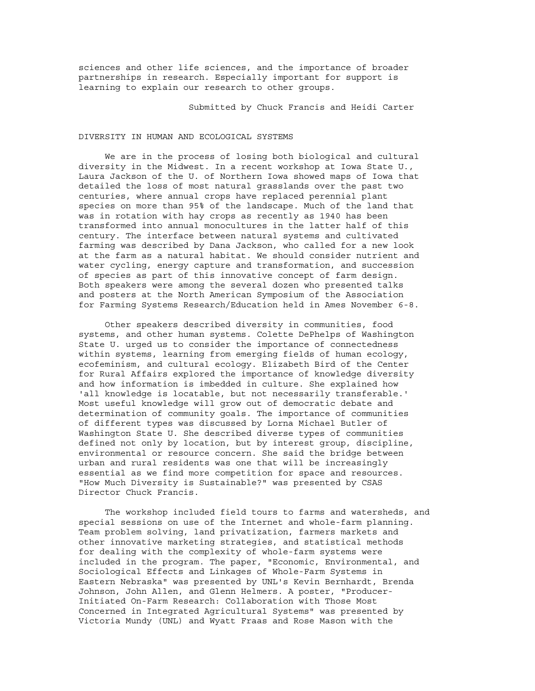sciences and other life sciences, and the importance of broader partnerships in research. Especially important for support is learning to explain our research to other groups.

Submitted by Chuck Francis and Heidi Carter

#### DIVERSITY IN HUMAN AND ECOLOGICAL SYSTEMS

 We are in the process of losing both biological and cultural diversity in the Midwest. In a recent workshop at Iowa State U., Laura Jackson of the U. of Northern Iowa showed maps of Iowa that detailed the loss of most natural grasslands over the past two centuries, where annual crops have replaced perennial plant species on more than 95% of the landscape. Much of the land that was in rotation with hay crops as recently as 1940 has been transformed into annual monocultures in the latter half of this century. The interface between natural systems and cultivated farming was described by Dana Jackson, who called for a new look at the farm as a natural habitat. We should consider nutrient and water cycling, energy capture and transformation, and succession of species as part of this innovative concept of farm design. Both speakers were among the several dozen who presented talks and posters at the North American Symposium of the Association for Farming Systems Research/Education held in Ames November 6-8.

 Other speakers described diversity in communities, food systems, and other human systems. Colette DePhelps of Washington State U. urged us to consider the importance of connectedness within systems, learning from emerging fields of human ecology, ecofeminism, and cultural ecology. Elizabeth Bird of the Center for Rural Affairs explored the importance of knowledge diversity and how information is imbedded in culture. She explained how 'all knowledge is locatable, but not necessarily transferable.' Most useful knowledge will grow out of democratic debate and determination of community goals. The importance of communities of different types was discussed by Lorna Michael Butler of Washington State U. She described diverse types of communities defined not only by location, but by interest group, discipline, environmental or resource concern. She said the bridge between urban and rural residents was one that will be increasingly essential as we find more competition for space and resources. "How Much Diversity is Sustainable?" was presented by CSAS Director Chuck Francis.

 The workshop included field tours to farms and watersheds, and special sessions on use of the Internet and whole-farm planning. Team problem solving, land privatization, farmers markets and other innovative marketing strategies, and statistical methods for dealing with the complexity of whole-farm systems were included in the program. The paper, "Economic, Environmental, and Sociological Effects and Linkages of Whole-Farm Systems in Eastern Nebraska" was presented by UNL's Kevin Bernhardt, Brenda Johnson, John Allen, and Glenn Helmers. A poster, "Producer-Initiated On-Farm Research: Collaboration with Those Most Concerned in Integrated Agricultural Systems" was presented by Victoria Mundy (UNL) and Wyatt Fraas and Rose Mason with the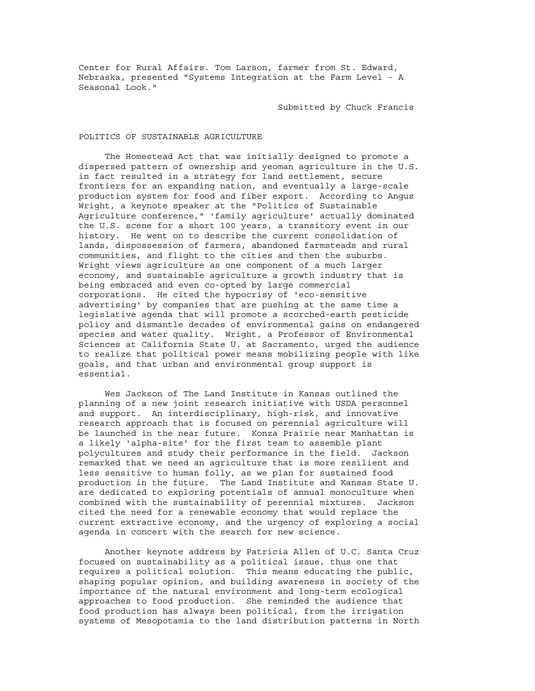Center for Rural Affairs. Tom Larson, farmer from St. Edward, Nebraska, presented "Systems Integration at the Farm Level - A Seasonal Look."

Submitted by Chuck Francis

#### POLITICS OF SUSTAINABLE AGRICULTURE

 The Homestead Act that was initially designed to promote a dispersed pattern of ownership and yeoman agriculture in the U.S. in fact resulted in a strategy for land settlement, secure frontiers for an expanding nation, and eventually a large-scale production system for food and fiber export. According to Angus Wright, a keynote speaker at the "Politics of Sustainable Agriculture conference," 'family agriculture' actually dominated the U.S. scene for a short 100 years, a transitory event in our history. He went on to describe the current consolidation of lands, dispossession of farmers, abandoned farmsteads and rural communities, and flight to the cities and then the suburbs. Wright views agriculture as one component of a much larger economy, and sustainable agriculture a growth industry that is being embraced and even co-opted by large commercial corporations. He cited the hypocrisy of 'eco-sensitive advertising' by companies that are pushing at the same time a legislative agenda that will promote a scorched-earth pesticide policy and dismantle decades of environmental gains on endangered species and water quality. Wright, a Professor of Environmental Sciences at California State U. at Sacramento, urged the audience to realize that political power means mobilizing people with like goals, and that urban and environmental group support is essential.

 Wes Jackson of The Land Institute in Kansas outlined the planning of a new joint research initiative with USDA personnel and support. An interdisciplinary, high-risk, and innovative research approach that is focused on perennial agriculture will be launched in the near future. Konza Prairie near Manhattan is a likely 'alpha-site' for the first team to assemble plant polycultures and study their performance in the field. Jackson remarked that we need an agriculture that is more resilient and less sensitive to human folly, as we plan for sustained food production in the future. The Land Institute and Kansas State U. are dedicated to exploring potentials of annual monoculture when combined with the sustainability of perennial mixtures. Jackson cited the need for a renewable economy that would replace the current extractive economy, and the urgency of exploring a social agenda in concert with the search for new science.

 Another keynote address by Patricia Allen of U.C. Santa Cruz focused on sustainability as a political issue, thus one that requires a political solution. This means educating the public, shaping popular opinion, and building awareness in society of the importance of the natural environment and long-term ecological approaches to food production. She reminded the audience that food production has always been political, from the irrigation systems of Mesopotamia to the land distribution patterns in North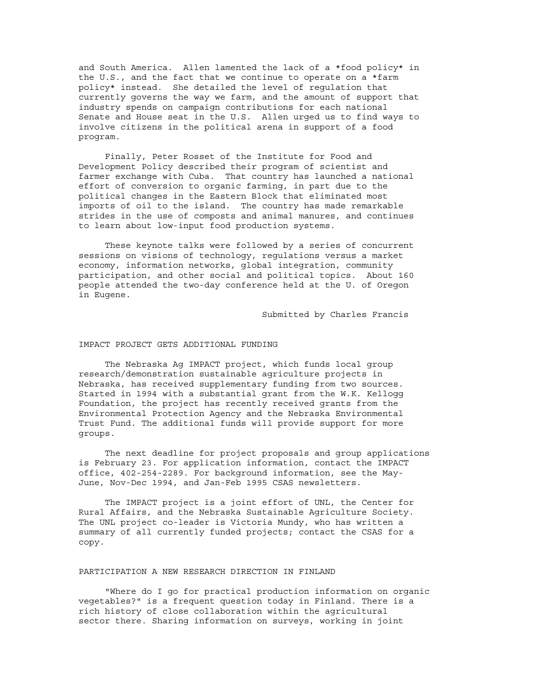and South America. Allen lamented the lack of a \*food policy\* in the U.S., and the fact that we continue to operate on a \*farm policy\* instead. She detailed the level of regulation that currently governs the way we farm, and the amount of support that industry spends on campaign contributions for each national Senate and House seat in the U.S. Allen urged us to find ways to involve citizens in the political arena in support of a food program.

 Finally, Peter Rosset of the Institute for Food and Development Policy described their program of scientist and farmer exchange with Cuba. That country has launched a national effort of conversion to organic farming, in part due to the political changes in the Eastern Block that eliminated most imports of oil to the island. The country has made remarkable strides in the use of composts and animal manures, and continues to learn about low-input food production systems.

 These keynote talks were followed by a series of concurrent sessions on visions of technology, regulations versus a market economy, information networks, global integration, community participation, and other social and political topics. About 160 people attended the two-day conference held at the U. of Oregon in Eugene.

Submitted by Charles Francis

#### IMPACT PROJECT GETS ADDITIONAL FUNDING

 The Nebraska Ag IMPACT project, which funds local group research/demonstration sustainable agriculture projects in Nebraska, has received supplementary funding from two sources. Started in 1994 with a substantial grant from the W.K. Kellogg Foundation, the project has recently received grants from the Environmental Protection Agency and the Nebraska Environmental Trust Fund. The additional funds will provide support for more groups.

 The next deadline for project proposals and group applications is February 23. For application information, contact the IMPACT office, 402-254-2289. For background information, see the May-June, Nov-Dec 1994, and Jan-Feb 1995 CSAS newsletters.

 The IMPACT project is a joint effort of UNL, the Center for Rural Affairs, and the Nebraska Sustainable Agriculture Society. The UNL project co-leader is Victoria Mundy, who has written a summary of all currently funded projects; contact the CSAS for a copy.

### PARTICIPATION A NEW RESEARCH DIRECTION IN FINLAND

 "Where do I go for practical production information on organic vegetables?" is a frequent question today in Finland. There is a rich history of close collaboration within the agricultural sector there. Sharing information on surveys, working in joint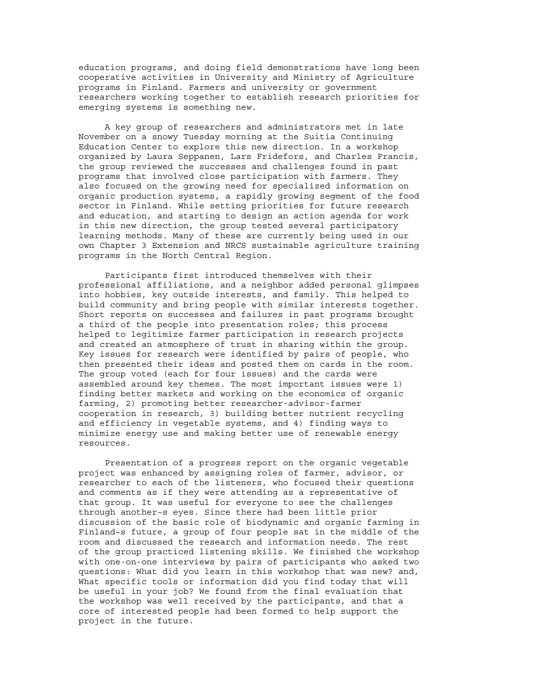education programs, and doing field demonstrations have long been cooperative activities in University and Ministry of Agriculture programs in Finland. Farmers and university or government researchers working together to establish research priorities for emerging systems is something new.

 A key group of researchers and administrators met in late November on a snowy Tuesday morning at the Suitia Continuing Education Center to explore this new direction. In a workshop organized by Laura Seppanen, Lars Fridefors, and Charles Francis, the group reviewed the successes and challenges found in past programs that involved close participation with farmers. They also focused on the growing need for specialized information on organic production systems, a rapidly growing segment of the food sector in Finland. While setting priorities for future research and education, and starting to design an action agenda for work in this new direction, the group tested several participatory learning methods. Many of these are currently being used in our own Chapter 3 Extension and NRCS sustainable agriculture training programs in the North Central Region.

 Participants first introduced themselves with their professional affiliations, and a neighbor added personal glimpses into hobbies, key outside interests, and family. This helped to build community and bring people with similar interests together. Short reports on successes and failures in past programs brought a third of the people into presentation roles; this process helped to legitimize farmer participation in research projects and created an atmosphere of trust in sharing within the group. Key issues for research were identified by pairs of people, who then presented their ideas and posted them on cards in the room. The group voted (each for four issues) and the cards were assembled around key themes. The most important issues were 1) finding better markets and working on the economics of organic farming, 2) promoting better researcher-advisor-farmer cooperation in research, 3) building better nutrient recycling and efficiency in vegetable systems, and 4) finding ways to minimize energy use and making better use of renewable energy resources.

 Presentation of a progress report on the organic vegetable project was enhanced by assigning roles of farmer, advisor, or researcher to each of the listeners, who focused their questions and comments as if they were attending as a representative of that group. It was useful for everyone to see the challenges through another~s eyes. Since there had been little prior discussion of the basic role of biodynamic and organic farming in Finland~s future, a group of four people sat in the middle of the room and discussed the research and information needs. The rest of the group practiced listening skills. We finished the workshop with one-on-one interviews by pairs of participants who asked two questions: What did you learn in this workshop that was new? and, What specific tools or information did you find today that will be useful in your job? We found from the final evaluation that the workshop was well received by the participants, and that a core of interested people had been formed to help support the project in the future.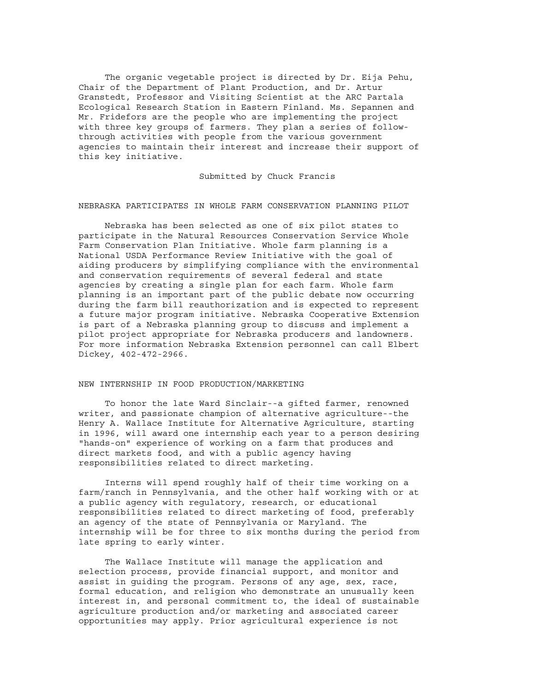The organic vegetable project is directed by Dr. Eija Pehu, Chair of the Department of Plant Production, and Dr. Artur Granstedt, Professor and Visiting Scientist at the ARC Partala Ecological Research Station in Eastern Finland. Ms. Sepannen and Mr. Fridefors are the people who are implementing the project with three key groups of farmers. They plan a series of followthrough activities with people from the various government agencies to maintain their interest and increase their support of this key initiative.

Submitted by Chuck Francis

#### NEBRASKA PARTICIPATES IN WHOLE FARM CONSERVATION PLANNING PILOT

 Nebraska has been selected as one of six pilot states to participate in the Natural Resources Conservation Service Whole Farm Conservation Plan Initiative. Whole farm planning is a National USDA Performance Review Initiative with the goal of aiding producers by simplifying compliance with the environmental and conservation requirements of several federal and state agencies by creating a single plan for each farm. Whole farm planning is an important part of the public debate now occurring during the farm bill reauthorization and is expected to represent a future major program initiative. Nebraska Cooperative Extension is part of a Nebraska planning group to discuss and implement a pilot project appropriate for Nebraska producers and landowners. For more information Nebraska Extension personnel can call Elbert Dickey, 402-472-2966.

#### NEW INTERNSHIP IN FOOD PRODUCTION/MARKETING

 To honor the late Ward Sinclair--a gifted farmer, renowned writer, and passionate champion of alternative agriculture--the Henry A. Wallace Institute for Alternative Agriculture, starting in 1996, will award one internship each year to a person desiring "hands-on" experience of working on a farm that produces and direct markets food, and with a public agency having responsibilities related to direct marketing.

 Interns will spend roughly half of their time working on a farm/ranch in Pennsylvania, and the other half working with or at a public agency with regulatory, research, or educational responsibilities related to direct marketing of food, preferably an agency of the state of Pennsylvania or Maryland. The internship will be for three to six months during the period from late spring to early winter.

 The Wallace Institute will manage the application and selection process, provide financial support, and monitor and assist in guiding the program. Persons of any age, sex, race, formal education, and religion who demonstrate an unusually keen interest in, and personal commitment to, the ideal of sustainable agriculture production and/or marketing and associated career opportunities may apply. Prior agricultural experience is not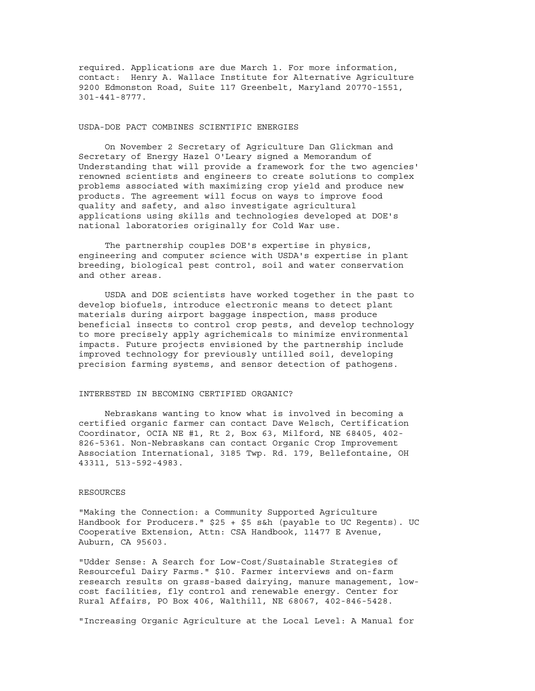required. Applications are due March 1. For more information, contact: Henry A. Wallace Institute for Alternative Agriculture 9200 Edmonston Road, Suite 117 Greenbelt, Maryland 20770-1551, 301-441-8777.

#### USDA-DOE PACT COMBINES SCIENTIFIC ENERGIES

 On November 2 Secretary of Agriculture Dan Glickman and Secretary of Energy Hazel O'Leary signed a Memorandum of Understanding that will provide a framework for the two agencies' renowned scientists and engineers to create solutions to complex problems associated with maximizing crop yield and produce new products. The agreement will focus on ways to improve food quality and safety, and also investigate agricultural applications using skills and technologies developed at DOE's national laboratories originally for Cold War use.

 The partnership couples DOE's expertise in physics, engineering and computer science with USDA's expertise in plant breeding, biological pest control, soil and water conservation and other areas.

 USDA and DOE scientists have worked together in the past to develop biofuels, introduce electronic means to detect plant materials during airport baggage inspection, mass produce beneficial insects to control crop pests, and develop technology to more precisely apply agrichemicals to minimize environmental impacts. Future projects envisioned by the partnership include improved technology for previously untilled soil, developing precision farming systems, and sensor detection of pathogens.

#### INTERESTED IN BECOMING CERTIFIED ORGANIC?

 Nebraskans wanting to know what is involved in becoming a certified organic farmer can contact Dave Welsch, Certification Coordinator, OCIA NE #1, Rt 2, Box 63, Milford, NE 68405, 402- 826-5361. Non-Nebraskans can contact Organic Crop Improvement Association International, 3185 Twp. Rd. 179, Bellefontaine, OH 43311, 513-592-4983.

#### RESOURCES

"Making the Connection: a Community Supported Agriculture Handbook for Producers." \$25 + \$5 s&h (payable to UC Regents). UC Cooperative Extension, Attn: CSA Handbook, 11477 E Avenue, Auburn, CA 95603.

"Udder Sense: A Search for Low-Cost/Sustainable Strategies of Resourceful Dairy Farms." \$10. Farmer interviews and on-farm research results on grass-based dairying, manure management, lowcost facilities, fly control and renewable energy. Center for Rural Affairs, PO Box 406, Walthill, NE 68067, 402-846-5428.

"Increasing Organic Agriculture at the Local Level: A Manual for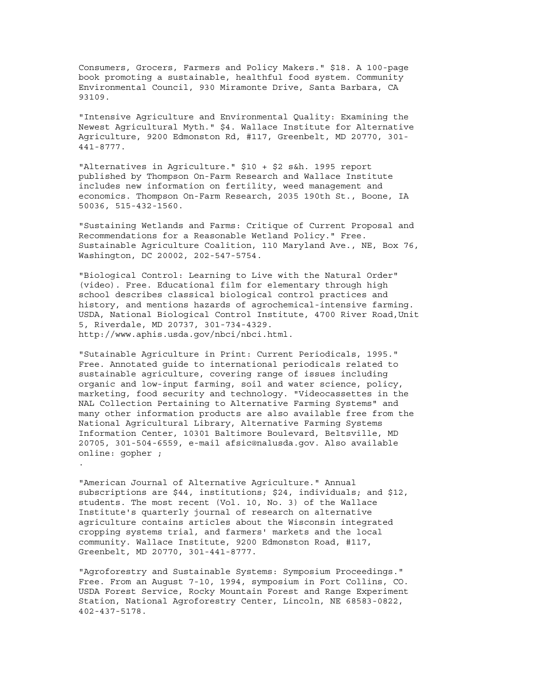Consumers, Grocers, Farmers and Policy Makers." \$18. A 100-page book promoting a sustainable, healthful food system. Community Environmental Council, 930 Miramonte Drive, Santa Barbara, CA 93109.

"Intensive Agriculture and Environmental Quality: Examining the Newest Agricultural Myth." \$4. Wallace Institute for Alternative Agriculture, 9200 Edmonston Rd, #117, Greenbelt, MD 20770, 301- 441-8777.

"Alternatives in Agriculture." \$10 + \$2 s&h. 1995 report published by Thompson On-Farm Research and Wallace Institute includes new information on fertility, weed management and economics. Thompson On-Farm Research, 2035 190th St., Boone, IA 50036, 515-432-1560.

"Sustaining Wetlands and Farms: Critique of Current Proposal and Recommendations for a Reasonable Wetland Policy." Free. Sustainable Agriculture Coalition, 110 Maryland Ave., NE, Box 76, Washington, DC 20002, 202-547-5754.

"Biological Control: Learning to Live with the Natural Order" (video). Free. Educational film for elementary through high school describes classical biological control practices and history, and mentions hazards of agrochemical-intensive farming. USDA, National Biological Control Institute, 4700 River Road,Unit 5, Riverdale, MD 20737, 301-734-4329. http://www.aphis.usda.gov/nbci/nbci.html.

"Sutainable Agriculture in Print: Current Periodicals, 1995." Free. Annotated guide to international periodicals related to sustainable agriculture, covering range of issues including organic and low-input farming, soil and water science, policy, marketing, food security and technology. "Videocassettes in the NAL Collection Pertaining to Alternative Farming Systems" and many other information products are also available free from the National Agricultural Library, Alternative Farming Systems Information Center, 10301 Baltimore Boulevard, Beltsville, MD 20705, 301-504-6559, e-mail afsic@nalusda.gov. Also available online: gopher ;

"American Journal of Alternative Agriculture." Annual subscriptions are \$44, institutions; \$24, individuals; and \$12, students. The most recent (Vol. 10, No. 3) of the Wallace Institute's quarterly journal of research on alternative agriculture contains articles about the Wisconsin integrated cropping systems trial, and farmers' markets and the local community. Wallace Institute, 9200 Edmonston Road, #117, Greenbelt, MD 20770, 301-441-8777.

.

"Agroforestry and Sustainable Systems: Symposium Proceedings." Free. From an August 7-10, 1994, symposium in Fort Collins, CO. USDA Forest Service, Rocky Mountain Forest and Range Experiment Station, National Agroforestry Center, Lincoln, NE 68583-0822, 402-437-5178.